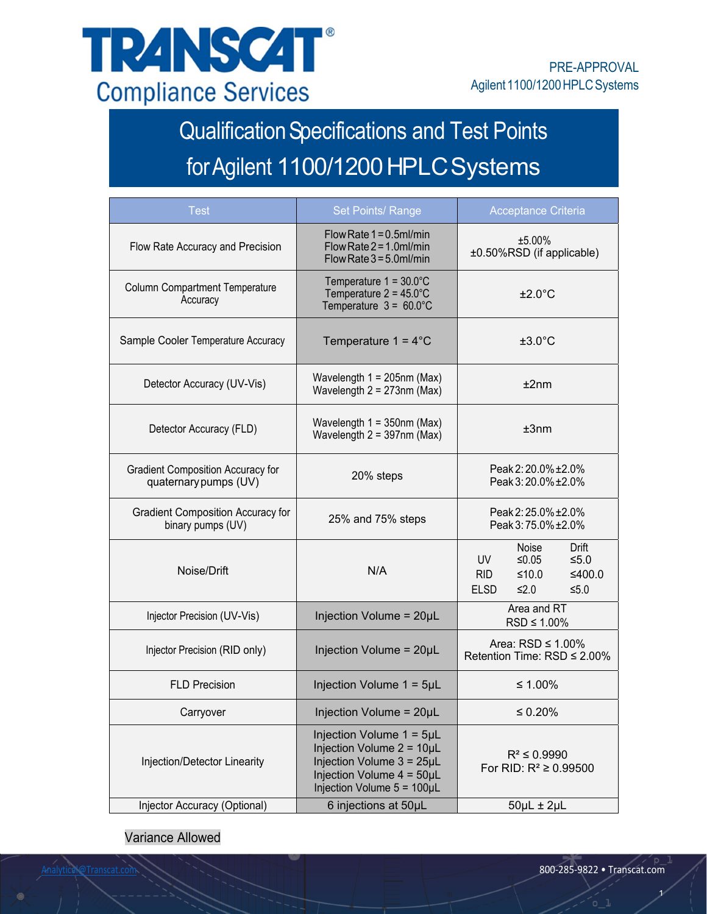

# Qualification Specifications and Test Points for Agilent 1100/1200 HPLC Systems

| <b>Test</b>                                                       | <b>Set Points/ Range</b>                                                                                                                                       | <b>Acceptance Criteria</b>                                                                                      |  |
|-------------------------------------------------------------------|----------------------------------------------------------------------------------------------------------------------------------------------------------------|-----------------------------------------------------------------------------------------------------------------|--|
| Flow Rate Accuracy and Precision                                  | Flow Rate $1 = 0.5$ ml/min<br>Flow Rate $2 = 1.0$ ml/min<br>Flow Rate $3 = 5.0$ ml/min                                                                         | ±5.00%<br>±0.50%RSD (if applicable)                                                                             |  |
| <b>Column Compartment Temperature</b><br>Accuracy                 | Temperature $1 = 30.0^{\circ}$ C<br>Temperature $2 = 45.0^{\circ}$ C<br>Temperature $3 = 60.0^{\circ}$ C                                                       | $±2.0^{\circ}$ C                                                                                                |  |
| Sample Cooler Temperature Accuracy                                | Temperature $1 = 4^{\circ}$ C                                                                                                                                  | $±3.0^{\circ}$ C                                                                                                |  |
| Detector Accuracy (UV-Vis)                                        | Wavelength $1 = 205$ nm (Max)<br>Wavelength $2 = 273$ nm (Max)                                                                                                 | $±2$ nm                                                                                                         |  |
| Detector Accuracy (FLD)                                           | Wavelength $1 = 350$ nm (Max)<br>Wavelength $2 = 397$ nm (Max)                                                                                                 | ±3nm                                                                                                            |  |
| <b>Gradient Composition Accuracy for</b><br>quaternary pumps (UV) | 20% steps                                                                                                                                                      | Peak 2: 20.0% ± 2.0%<br>Peak 3:20.0% ± 2.0%                                                                     |  |
| <b>Gradient Composition Accuracy for</b><br>binary pumps (UV)     | 25% and 75% steps                                                                                                                                              | Peak 2:25.0% ± 2.0%<br>Peak 3:75.0% ± 2.0%                                                                      |  |
| Noise/Drift                                                       | N/A                                                                                                                                                            | Noise<br>Drift<br>$≤0.05$<br>UV<br>$≤5.0$<br><b>RID</b><br>≤400.0<br>$≤10.0$<br><b>ELSD</b><br>$≤2.0$<br>$≤5.0$ |  |
| Injector Precision (UV-Vis)                                       | Injection Volume = 20µL                                                                                                                                        | Area and RT<br>$RSD \leq 1.00\%$                                                                                |  |
| Injector Precision (RID only)                                     | Injection Volume = 20µL                                                                                                                                        | Area: $RSD \leq 1.00\%$<br>Retention Time: RSD ≤ 2.00%                                                          |  |
| <b>FLD Precision</b>                                              | Injection Volume 1 = 5µL                                                                                                                                       | ≤ 1.00%                                                                                                         |  |
| Carryover                                                         | Injection Volume = 20µL                                                                                                                                        | $\leq 0.20\%$                                                                                                   |  |
| Injection/Detector Linearity                                      | Injection Volume $1 = 5\mu L$<br>Injection Volume $2 = 10 \mu L$<br>Injection Volume 3 = 25µL<br>Injection Volume $4 = 50 \mu L$<br>Injection Volume 5 = 100µL | $R^2 \le 0.9990$<br>For RID: $R^2 \ge 0.99500$                                                                  |  |
| Injector Accuracy (Optional)                                      | 6 injections at 50µL                                                                                                                                           | $50\mu L \pm 2\mu L$                                                                                            |  |

Variance Allowed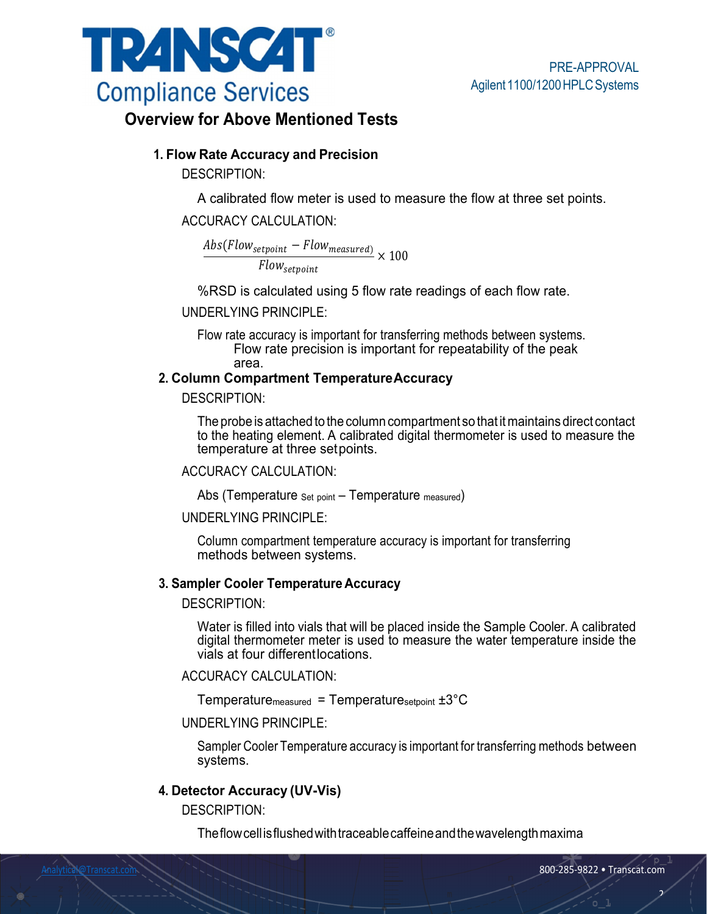

# **Overview for Above Mentioned Tests**

## **1. Flow Rate Accuracy and Precision**

DESCRIPTION:

A calibrated flow meter is used to measure the flow at three set points.

#### ACCURACY CALCULATION:

 $Abs(Flow_{setpoint} - Flow_{measured})$ Flow<sub>setpoint</sub>  $\times$  100

%RSD is calculated using 5 flow rate readings of each flow rate.

UNDERLYING PRINCIPLE:

Flow rate accuracy is important for transferring methods between systems. Flow rate precision is important for repeatability of the peak area.

#### **2. Column Compartment Temperature Accuracy**

DESCRIPTION:

The probe is attached to the column compartment so that it maintains direct contact to the heating element. A calibrated digital thermometer is used to measure the temperature at three set points.

#### ACCURACY CALCULATION:

Abs (Temperature Set point – Temperature measured)

#### UNDERLYING PRINCIPLE:

Column compartment temperature accuracy is important for transferring methods between systems.

#### **3. Sampler Cooler Temperature Accuracy**

DESCRIPTION:

Water is filled into vials that will be placed inside the Sample Cooler. A calibrated digital thermometer meter is used to measure the water temperature inside the vials at four different locations.

#### ACCURACY CALCULATION:

Temperature<sub>measured</sub> = Temperature<sub>setpoint</sub>  $\pm 3^{\circ}C$ 

#### UNDERLYING PRINCIPLE:

Sampler Cooler Temperature accuracy is important for transferring methods between systems.

## **4. Detector Accuracy (UV-Vis)**

DESCRIPTION:

The flow cell is flushed with traceable caffeine and the wavelength maxima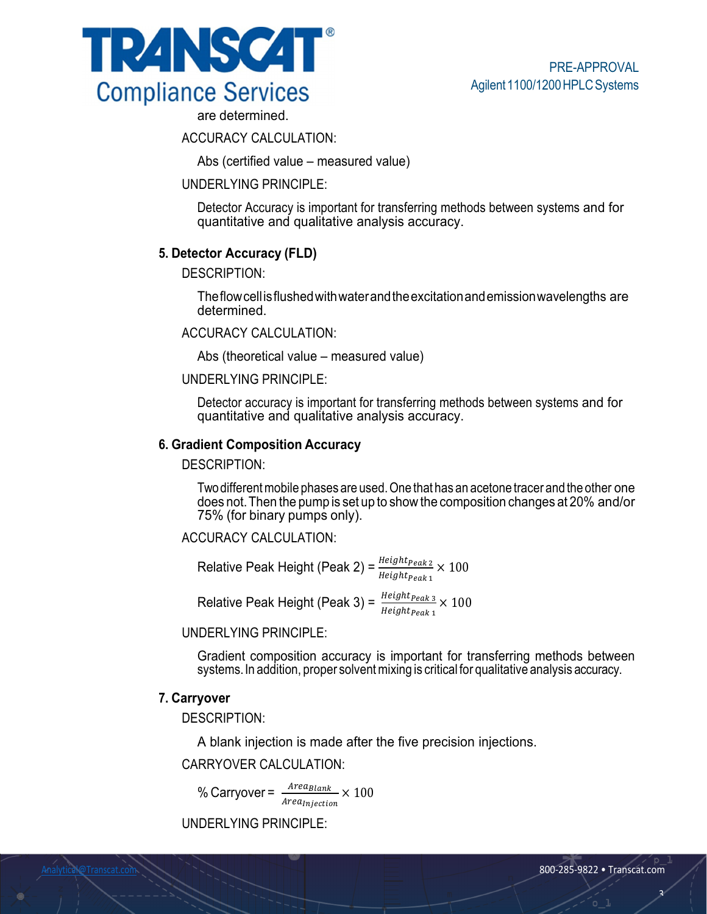



are determined.

ACCURACY CALCULATION:

Abs (certified value – measured value)

#### UNDERLYING PRINCIPLE:

Detector Accuracy is important for transferring methods between systems and for quantitative and qualitative analysis accuracy.

## **5. Detector Accuracy (FLD)**

DESCRIPTION:

The flow cell is flushed with water and the excitation and emission wavelengths are determined.

ACCURACY CALCULATION:

Abs (theoretical value – measured value)

#### UNDERLYING PRINCIPLE:

Detector accuracy is important for transferring methods between systems and for quantitative and qualitative analysis accuracy.

#### **6. Gradient Composition Accuracy**

DESCRIPTION:

Two different mobile phases are used. One that has an acetone tracer and the other one does not. Then the pump is set up to show the composition changes at 20% and/or 75% (for binary pumps only).

#### ACCURACY CALCULATION:

Relative Peak Height (Peak 2) =  $\frac{Height_{Peak2}}{Height_{Peak1}} \times 100$ 

Relative Peak Height (Peak 3) =  $\frac{Height_{Peak3}}{Height_{Peak1}} \times 100$ 

## UNDERLYING PRINCIPLE:

Gradient composition accuracy is important for transferring methods between systems. In addition, proper solvent mixing is critical for qualitative analysis accuracy.

#### **7. Carryover**

DESCRIPTION:

A blank injection is made after the five precision injections.

#### CARRYOVER CALCULATION:

% Carryover =  $\frac{Area_{\textit{Blank}}}{Area_{\textit{Injection}}} \times 100$ 

UNDERLYING PRINCIPLE:

<u>د</u>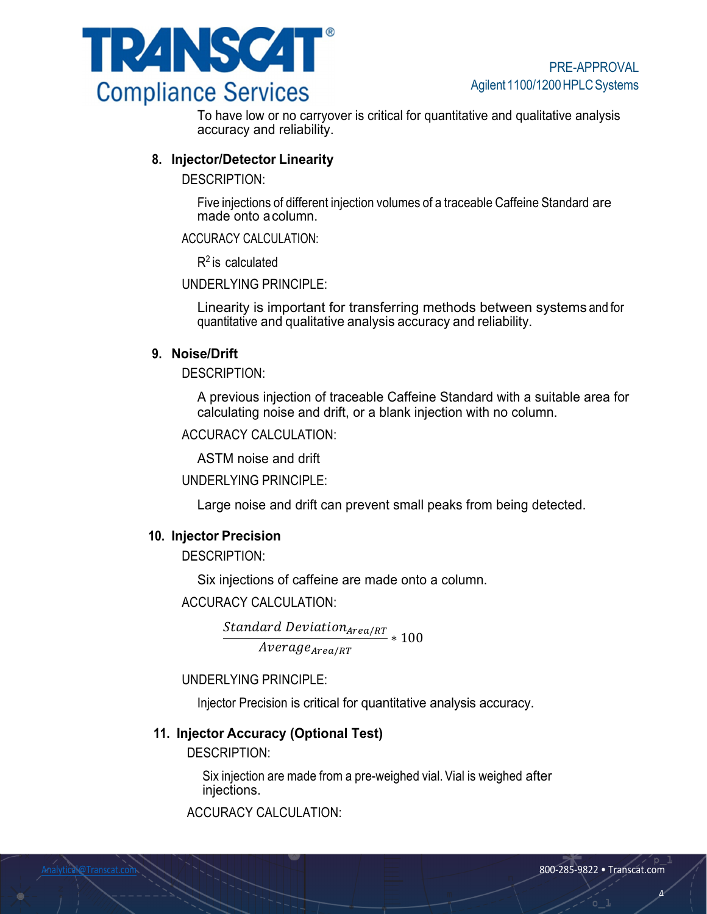

To have low or no carryover is critical for quantitative and qualitative analysis accuracy and reliability.

## **8. Injector/Detector Linearity**

DESCRIPTION:

Five injections of different injection volumes of a traceable Caffeine Standard are made onto a column.

ACCURACY CALCULATION:

 $R<sup>2</sup>$  is calculated

UNDERLYING PRINCIPLE:

Linearity is important for transferring methods between systems and for quantitative and qualitative analysis accuracy and reliability.

## **9. Noise/Drift**

DESCRIPTION:

A previous injection of traceable Caffeine Standard with a suitable area for calculating noise and drift, or a blank injection with no column.

ACCURACY CALCULATION:

ASTM noise and drift

UNDERLYING PRINCIPLE:

Large noise and drift can prevent small peaks from being detected.

## **10. Injector Precision**

DESCRIPTION:

Six injections of caffeine are made onto a column.

ACCURACY CALCULATION:

 $\frac{Standard\ Deviation_{Area/RT}}{4} * 100$  $Average_{Area/RT}$ 

UNDERLYING PRINCIPLE:

Injector Precision is critical for quantitative analysis accuracy.

# **11. Injector Accuracy (Optional Test)**

DESCRIPTION:

Six injection are made from a pre-weighed vial. Vial is weighed after injections.

ACCURACY CALCULATION:

 $\overline{a}$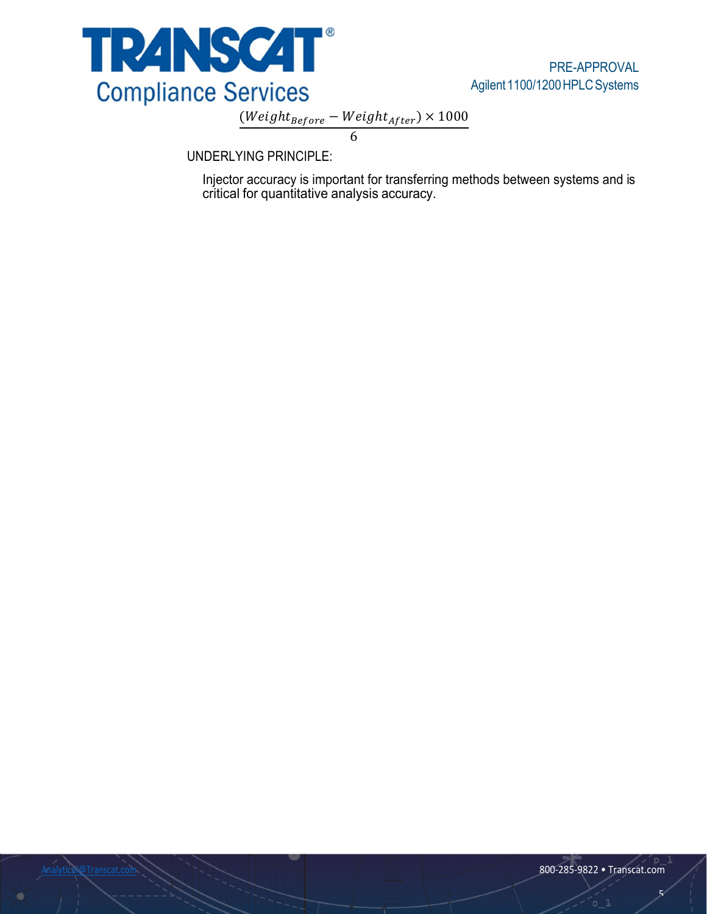

 $(Weight_{Before} - Weight_{After}) \times 1000$ 

6

UNDERLYING PRINCIPLE:

Injector accuracy is important for transferring methods between systems and is critical for quantitative analysis accuracy.

Ō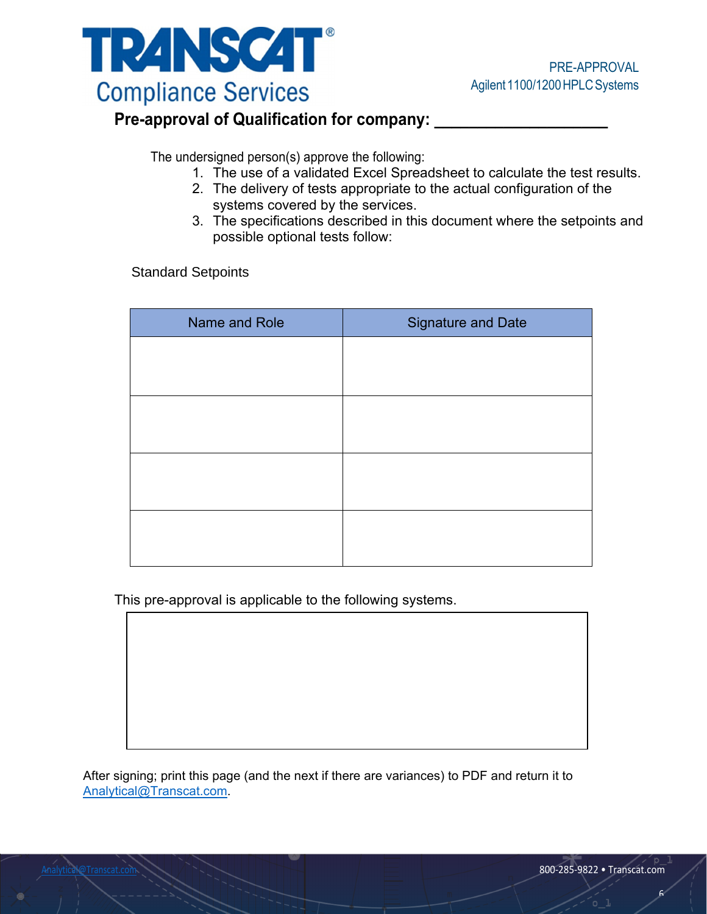

# **Pre-approval of Qualification for company: \_\_\_\_\_\_\_\_\_\_\_\_\_\_\_\_\_\_\_\_**

The undersigned person(s) approve the following:

- 1. The use of a validated Excel Spreadsheet to calculate the test results.
- 2. The delivery of tests appropriate to the actual configuration of the systems covered by the services.
- 3. The specifications described in this document where the setpoints and possible optional tests follow:

Standard Setpoints

| Name and Role | <b>Signature and Date</b> |  |
|---------------|---------------------------|--|
|               |                           |  |
|               |                           |  |
|               |                           |  |
|               |                           |  |
|               |                           |  |
|               |                           |  |
|               |                           |  |
|               |                           |  |

This pre-approval is applicable to the following systems.

After signing; print this page (and the next if there are variances) to PDF and return it to Analytical@Transcat.com.

 $\epsilon$